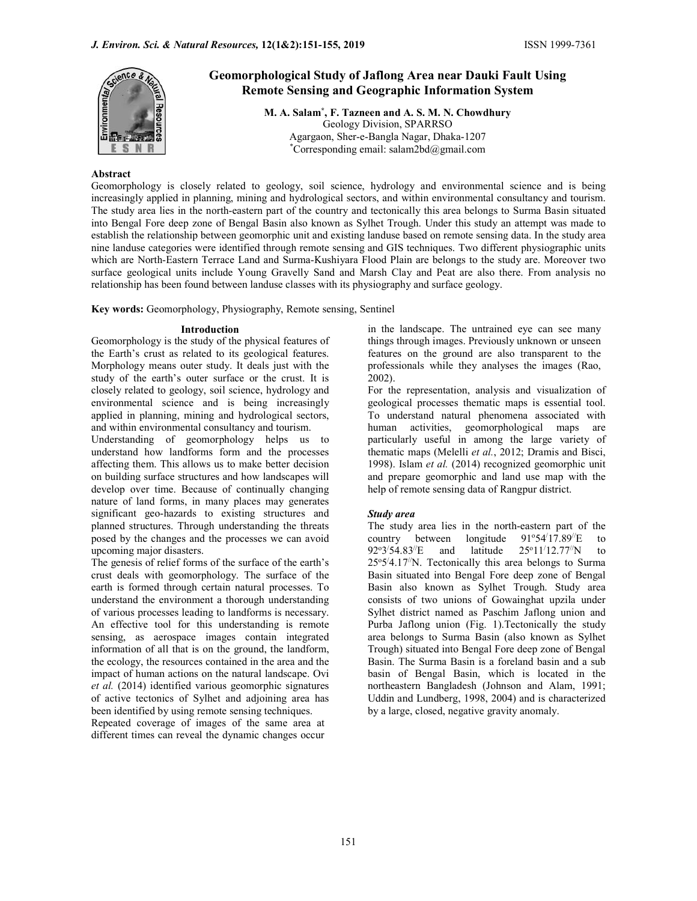

# Geomorphological Study of Jaflong Area near Dauki Fault Using Remote Sensing and Geographic Information System

M. A. Salam\* , F. Tazneen and A. S. M. N. Chowdhury Geology Division, SPARRSO Agargaon, Sher-e-Bangla Nagar, Dhaka-1207 \*Corresponding email: salam2bd@gmail.com

#### Abstract

Geomorphology is closely related to geology, soil science, hydrology and environmental science and is being increasingly applied in planning, mining and hydrological sectors, and within environmental consultancy and tourism. The study area lies in the north-eastern part of the country and tectonically this area belongs to Surma Basin situated into Bengal Fore deep zone of Bengal Basin also known as Sylhet Trough. Under this study an attempt was made to establish the relationship between geomorphic unit and existing landuse based on remote sensing data. In the study area nine landuse categories were identified through remote sensing and GIS techniques. Two different physiographic units which are North-Eastern Terrace Land and Surma-Kushiyara Flood Plain are belongs to the study are. Moreover two surface geological units include Young Gravelly Sand and Marsh Clay and Peat are also there. From analysis no relationship has been found between landuse classes with its physiography and surface geology.

Key words: Geomorphology, Physiography, Remote sensing, Sentinel

## Introduction

Geomorphology is the study of the physical features of the Earth's crust as related to its geological features. Morphology means outer study. It deals just with the study of the earth's outer surface or the crust. It is closely related to geology, soil science, hydrology and environmental science and is being increasingly applied in planning, mining and hydrological sectors, and within environmental consultancy and tourism.

Understanding of geomorphology helps us to understand how landforms form and the processes affecting them. This allows us to make better decision on building surface structures and how landscapes will develop over time. Because of continually changing nature of land forms, in many places may generates significant geo-hazards to existing structures and planned structures. Through understanding the threats posed by the changes and the processes we can avoid country between upcoming major disasters.

The genesis of relief forms of the surface of the earth's crust deals with geomorphology. The surface of the earth is formed through certain natural processes. To understand the environment a thorough understanding of various processes leading to landforms is necessary. An effective tool for this understanding is remote sensing, as aerospace images contain integrated information of all that is on the ground, the landform, the ecology, the resources contained in the area and the impact of human actions on the natural landscape. Ovi et al. (2014) identified various geomorphic signatures of active tectonics of Sylhet and adjoining area has been identified by using remote sensing techniques.

Repeated coverage of images of the same area at different times can reveal the dynamic changes occur

in the landscape. The untrained eye can see many things through images. Previously unknown or unseen features on the ground are also transparent to the professionals while they analyses the images (Rao, 2002).

For the representation, analysis and visualization of geological processes thematic maps is essential tool. To understand natural phenomena associated with human activities, geomorphological maps are particularly useful in among the large variety of thematic maps (Melelli et al., 2012; Dramis and Bisci, 1998). Islam et al. (2014) recognized geomorphic unit and prepare geomorphic and land use map with the help of remote sensing data of Rangpur district.

# Study area

The study area lies in the north-eastern part of the country between longitude  $91^{\circ}54'17.89''E$  to  $92^{\circ}3'54.83''E$  and latitude  $3/54.83$ /E and latitude  $25^{\circ}11/12.77$ /N to 25o 5 /4.17//N. Tectonically this area belongs to Surma Basin situated into Bengal Fore deep zone of Bengal Basin also known as Sylhet Trough. Study area consists of two unions of Gowainghat upzila under Sylhet district named as Paschim Jaflong union and Purba Jaflong union (Fig. 1).Tectonically the study area belongs to Surma Basin (also known as Sylhet Trough) situated into Bengal Fore deep zone of Bengal Basin. The Surma Basin is a foreland basin and a sub basin of Bengal Basin, which is located in the northeastern Bangladesh (Johnson and Alam, 1991; Uddin and Lundberg, 1998, 2004) and is characterized by a large, closed, negative gravity anomaly.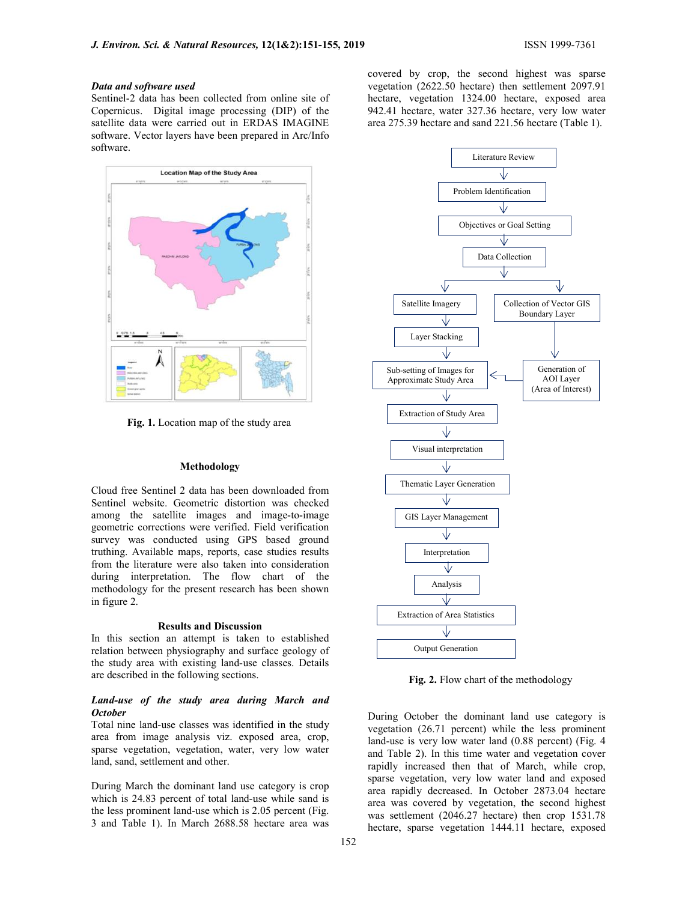#### Data and software used

Sentinel-2 data has been collected from online site of Copernicus. Digital image processing (DIP) of the satellite data were carried out in ERDAS IMAGINE software. Vector layers have been prepared in Arc/Info software.



Fig. 1. Location map of the study area

#### Methodology

Cloud free Sentinel 2 data has been downloaded from Sentinel website. Geometric distortion was checked among the satellite images and image-to-image geometric corrections were verified. Field verification survey was conducted using GPS based ground truthing. Available maps, reports, case studies results from the literature were also taken into consideration during interpretation. The flow chart of the methodology for the present research has been shown in figure 2.

## Results and Discussion

In this section an attempt is taken to established relation between physiography and surface geology of the study area with existing land-use classes. Details are described in the following sections.

#### Land-use of the study area during March and **October**

Total nine land-use classes was identified in the study area from image analysis viz. exposed area, crop, sparse vegetation, vegetation, water, very low water land, sand, settlement and other.

During March the dominant land use category is crop which is 24.83 percent of total land-use while sand is the less prominent land-use which is 2.05 percent (Fig. 3 and Table 1). In March 2688.58 hectare area was

covered by crop, the second highest was sparse vegetation (2622.50 hectare) then settlement 2097.91 hectare, vegetation 1324.00 hectare, exposed area 942.41 hectare, water 327.36 hectare, very low water area 275.39 hectare and sand 221.56 hectare (Table 1).



Fig. 2. Flow chart of the methodology

During October the dominant land use category is vegetation (26.71 percent) while the less prominent land-use is very low water land (0.88 percent) (Fig. 4 and Table 2). In this time water and vegetation cover rapidly increased then that of March, while crop, sparse vegetation, very low water land and exposed area rapidly decreased. In October 2873.04 hectare area was covered by vegetation, the second highest was settlement (2046.27 hectare) then crop 1531.78 hectare, sparse vegetation 1444.11 hectare, exposed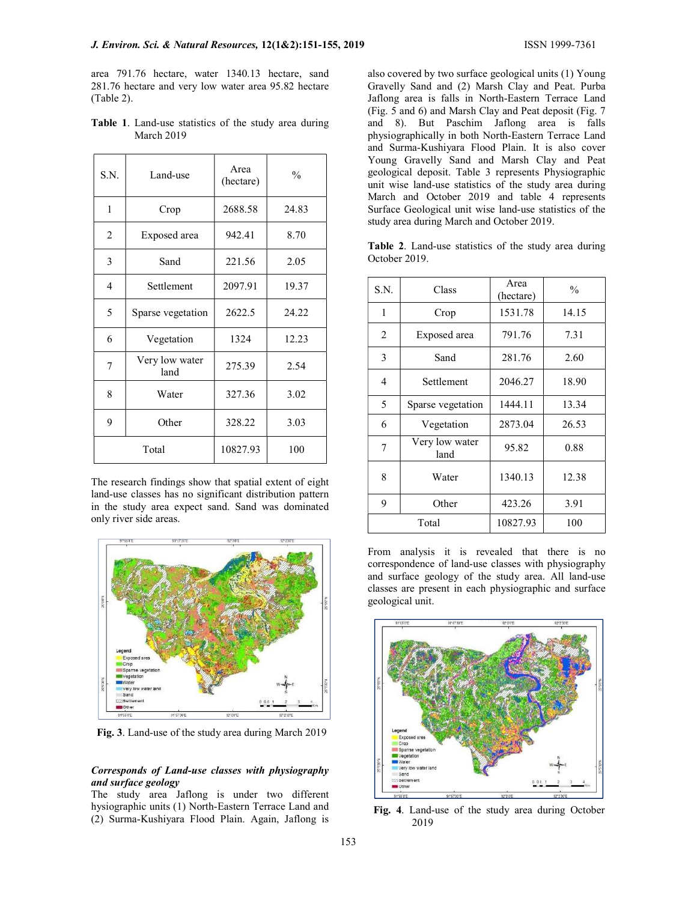area 791.76 hectare, water 1340.13 hectare, sand 281.76 hectare and very low water area 95.82 hectare (Table 2).

| S.N. | Land-use               | Area<br>(hectare) | $\frac{0}{0}$ |
|------|------------------------|-------------------|---------------|
| 1    | Crop                   | 2688.58           | 24.83         |
| 2    | Exposed area           | 942.41            | 8.70          |
| 3    | Sand                   | 221.56            | 2.05          |
| 4    | Settlement             | 2097.91           | 19.37         |
| 5    | Sparse vegetation      | 2622.5            | 24.22         |
| 6    | Vegetation             | 1324              | 12.23         |
| 7    | Very low water<br>land | 275.39            | 2.54          |
| 8    | Water                  | 327.36            | 3.02          |
| 9    | Other                  | 328.22            | 3.03          |
|      | Total                  | 10827.93          | 100           |

Table 1. Land-use statistics of the study area during March 2019

The research findings show that spatial extent of eight land-use classes has no significant distribution pattern in the study area expect sand. Sand was dominated only river side areas.



Fig. 3. Land-use of the study area during March 2019

## Corresponds of Land-use classes with physiography and surface geology

The study area Jaflong is under two different hysiographic units (1) North-Eastern Terrace Land and (2) Surma-Kushiyara Flood Plain. Again, Jaflong is

also covered by two surface geological units (1) Young Gravelly Sand and (2) Marsh Clay and Peat. Purba Jaflong area is falls in North-Eastern Terrace Land (Fig. 5 and 6) and Marsh Clay and Peat deposit (Fig. 7 and 8). But Paschim Jaflong area is falls physiographically in both North-Eastern Terrace Land and Surma-Kushiyara Flood Plain. It is also cover Young Gravelly Sand and Marsh Clay and Peat geological deposit. Table 3 represents Physiographic unit wise land-use statistics of the study area during March and October 2019 and table 4 represents Surface Geological unit wise land-use statistics of the study area during March and October 2019.

Table 2. Land-use statistics of the study area during October 2019.

| S.N.           | Class                  | Area<br>(hectare) | $\frac{0}{0}$ |
|----------------|------------------------|-------------------|---------------|
| 1              | Crop                   | 1531.78           | 14.15         |
| $\overline{2}$ | Exposed area           | 791.76            | 7.31          |
| 3              | Sand                   | 281.76            | 2.60          |
| 4              | Settlement             | 2046.27           | 18.90         |
| 5              | Sparse vegetation      | 1444.11           | 13.34         |
| 6              | Vegetation             | 2873.04           | 26.53         |
| 7              | Very low water<br>land | 95.82             | 0.88          |
| 8              | Water                  | 1340.13           | 12.38         |
| 9              | Other                  | 423.26            | 3.91          |
|                | Total                  | 10827.93          | 100           |

From analysis it is revealed that there is no correspondence of land-use classes with physiography and surface geology of the study area. All land-use classes are present in each physiographic and surface geological unit.



Fig. 4. Land-use of the study area during October 2019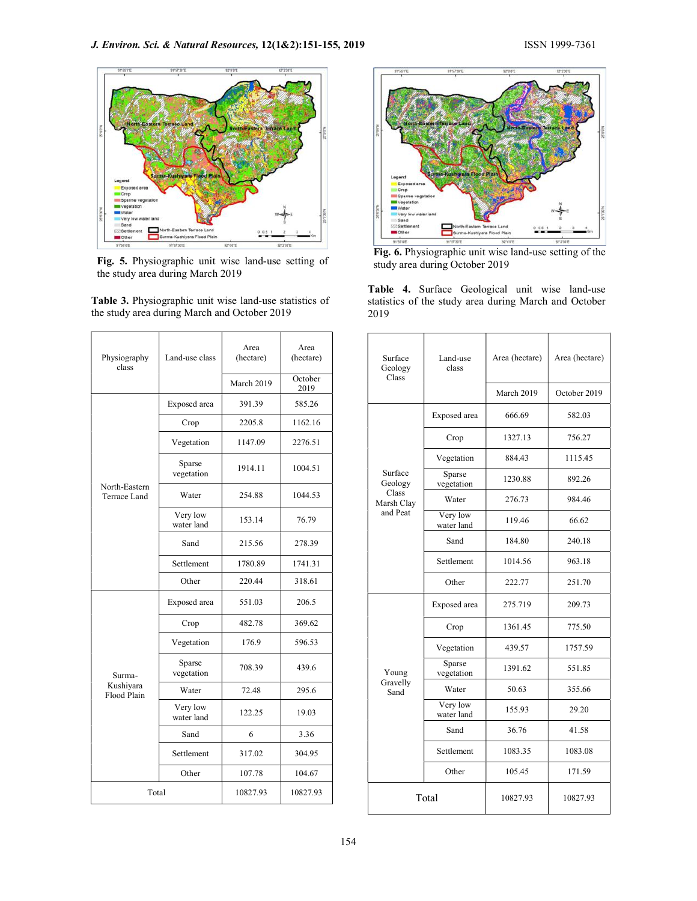

Fig. 5. Physiographic unit wise land-use setting of the study area during March 2019

Table 3. Physiographic unit wise land-use statistics of the study area during March and October 2019

| Physiography<br>class         | Land-use class                            | Area<br>(hectare) | Area<br>(hectare) |  | Surface<br>Geology  |
|-------------------------------|-------------------------------------------|-------------------|-------------------|--|---------------------|
|                               |                                           | March 2019        | October<br>2019   |  | Class               |
|                               | Exposed area                              | 391.39            | 585.26            |  |                     |
|                               | Crop                                      | 2205.8            | 1162.16           |  |                     |
|                               | Vegetation                                | 1147.09           | 2276.51           |  |                     |
|                               | Sparse<br>vegetation                      | 1914.11           | 1004.51           |  | Surface<br>Geology  |
| North-Eastern<br>Terrace Land | Water                                     | 254.88            | 1044.53           |  | Class<br>Marsh Clay |
|                               | Very low<br>water land                    | 153.14            | 76.79             |  | and Peat            |
|                               | Sand                                      | 215.56            | 278.39            |  |                     |
|                               | Settlement                                | 1780.89           | 1741.31           |  |                     |
|                               | Other                                     | 220.44            | 318.61            |  |                     |
|                               | Exposed area                              | 551.03            | 206.5             |  |                     |
|                               | Crop                                      | 482.78            | 369.62            |  |                     |
|                               | Vegetation                                | 176.9             | 596.53            |  |                     |
| Surma-                        | Sparse<br>vegetation                      | 708.39            | 439.6             |  | Young               |
| Kushiyara<br>Flood Plain      | Water                                     | 72.48             | 295.6             |  | Gravelly<br>Sand    |
|                               | Very low<br>19.03<br>122.25<br>water land |                   |                   |  |                     |
|                               | Sand                                      | 6                 | 3.36              |  |                     |
|                               | Settlement<br>317.02<br>304.95            |                   |                   |  |                     |
|                               | Other                                     | 107.78            | 104.67            |  |                     |
| Total                         |                                           | 10827.93          | 10827.93          |  |                     |
|                               |                                           |                   |                   |  |                     |



Fig. 6. Physiographic unit wise land-use setting of the study area during October 2019

Table 4. Surface Geological unit wise land-use statistics of the study area during March and October 2019

| Area<br>(hectare) |                    | Surface<br>Geology<br>Class     | Land-use<br>class      | Area (hectare) | Area (hectare) |
|-------------------|--------------------|---------------------------------|------------------------|----------------|----------------|
| October<br>2019   |                    |                                 |                        | March 2019     | October 2019   |
| 585.26            |                    |                                 | Exposed area           | 666.69         | 582.03         |
| 1162.16           |                    |                                 |                        |                |                |
| 2276.51           | Surface<br>Geology | Crop                            | 1327.13                | 756.27         |                |
| 1004.51           |                    |                                 | Vegetation             | 884.43         | 1115.45        |
|                   |                    | Sparse<br>vegetation            | 1230.88                | 892.26         |                |
| 1044.53           |                    | Class<br>Marsh Clay<br>and Peat | Water                  | 276.73         | 984.46         |
| 76.79             |                    |                                 | Very low<br>water land | 119.46         | 66.62          |
| 278.39            |                    |                                 | Sand                   | 184.80         | 240.18         |
| 1741.31           |                    |                                 | Settlement             | 1014.56        | 963.18         |
| 318.61            |                    |                                 | Other                  | 222.77         | 251.70         |
| 206.5             |                    | Young<br>Gravelly<br>Sand       | Exposed area           | 275.719        | 209.73         |
| 369.62            |                    |                                 | Crop                   | 1361.45        | 775.50         |
| 596.53            |                    |                                 | Vegetation             | 439.57         | 1757.59        |
| 439.6             |                    |                                 | Sparse<br>vegetation   | 1391.62        | 551.85         |
| 295.6             |                    |                                 | Water                  | 50.63          | 355.66         |
| 19.03             |                    |                                 | Very low<br>water land | 155.93         | 29.20          |
| 3.36              |                    |                                 | Sand                   | 36.76          | 41.58          |
| 304.95            |                    |                                 | Settlement             | 1083.35        | 1083.08        |
| 104.67            |                    |                                 | Other                  | 105.45         | 171.59         |
| 10827.93          |                    | Total                           |                        | 10827.93       | 10827.93       |